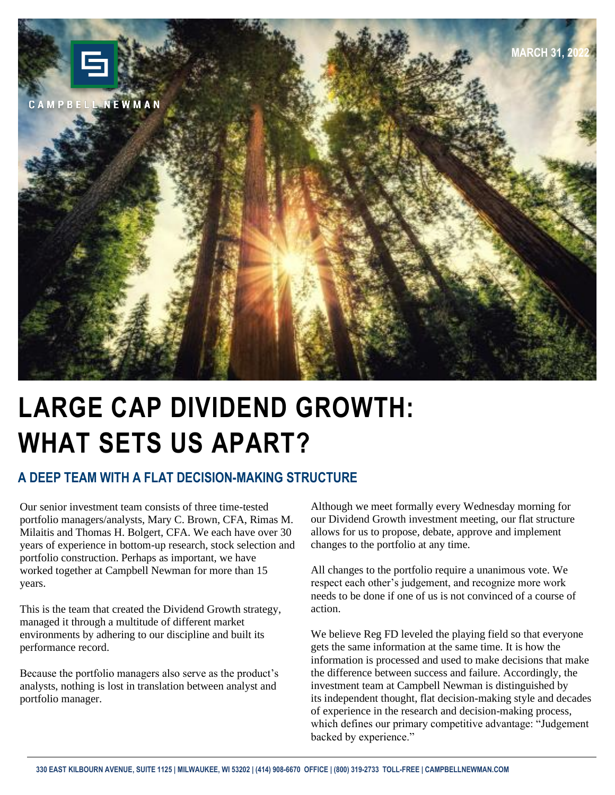

# **LARGE CAP DIVIDEND GROWTH: WHAT SETS US APART?**

### **A DEEP TEAM WITH A FLAT DECISION-MAKING STRUCTURE**

Our senior investment team consists of three time-tested portfolio managers/analysts, Mary C. Brown, CFA, Rimas M. Milaitis and Thomas H. Bolgert, CFA. We each have over 30 years of experience in bottom-up research, stock selection and portfolio construction. Perhaps as important, we have worked together at Campbell Newman for more than 15 years.

This is the team that created the Dividend Growth strategy, managed it through a multitude of different market environments by adhering to our discipline and built its performance record.

Because the portfolio managers also serve as the product's analysts, nothing is lost in translation between analyst and portfolio manager.

Although we meet formally every Wednesday morning for our Dividend Growth investment meeting, our flat structure allows for us to propose, debate, approve and implement changes to the portfolio at any time.

All changes to the portfolio require a unanimous vote. We respect each other's judgement, and recognize more work needs to be done if one of us is not convinced of a course of action.

We believe Reg FD leveled the playing field so that everyone gets the same information at the same time. It is how the information is processed and used to make decisions that make the difference between success and failure. Accordingly, the investment team at Campbell Newman is distinguished by its independent thought, flat decision-making style and decades of experience in the research and decision-making process, which defines our primary competitive advantage: "Judgement backed by experience."